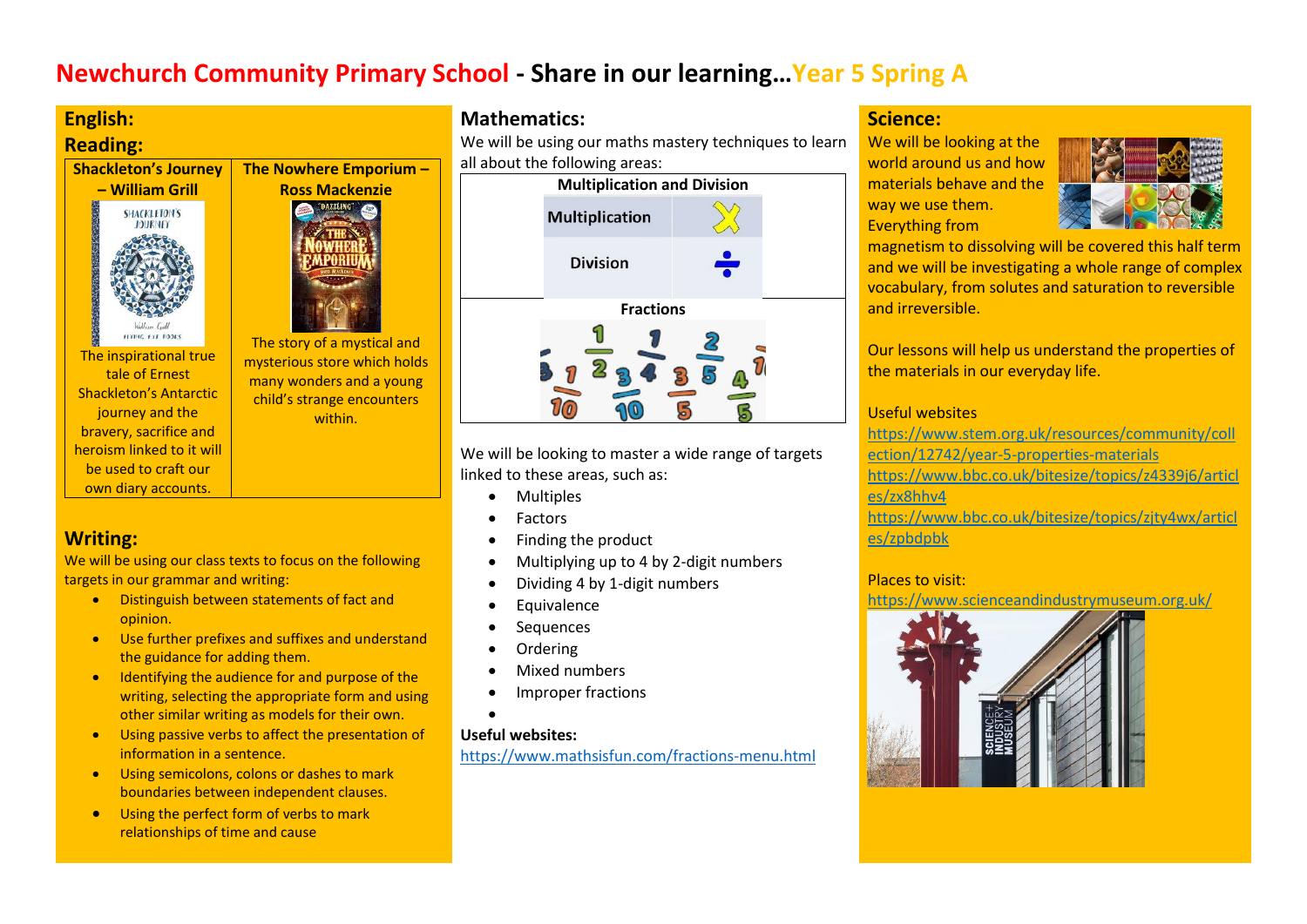# **Newchurch Community Primary School - Share in our learning…Year 5 Spring A**

# **English:**

own diary accounts.

opinion.

targets in our grammar and writing:

**Writing:**



We will be using our class texts to focus on the following

**•** Distinguish between statements of fact and

the guidance for adding them.

information in a sentence.

Use further prefixes and suffixes and understand

**IDENTIFY CONTENT IDENTIFYING IDENTIFYING IDENTIFYING IDENTIFYING IDENTIFYING IDENTIFYING IDENTIFYING** writing, selecting the appropriate form and using other similar writing as models for their own. Using passive verbs to affect the presentation of

## **Mathematics:**

We will be using our maths mastery techniques to learn all about the following areas:



We will be looking to master a wide range of targets linked to these areas, such as:

- Multiples
- Factors
- Finding the product
- Multiplying up to 4 by 2-digit numbers
- Dividing 4 by 1-digit numbers
- **Equivalence**
- Sequences
- Ordering
- Mixed numbers
- Improper fractions
- $\bullet$

## **Useful websites:**

<https://www.mathsisfun.com/fractions-menu.html>

## **Science:**

We will be looking at the world around us and how materials behave and the way we use them. Everything from



magnetism to dissolving will be covered this half term and we will be investigating a whole range of complex vocabulary, from solutes and saturation to reversible and irreversible.

Our lessons will help us understand the properties of the materials in our everyday life.

## Useful websites

[https://www.stem.org.uk/resources/community/coll](https://www.stem.org.uk/resources/community/collection/12742/year-5-properties-materials) [ection/12742/year-5-properties-materials](https://www.stem.org.uk/resources/community/collection/12742/year-5-properties-materials) [https://www.bbc.co.uk/bitesize/topics/z4339j6/articl](https://www.bbc.co.uk/bitesize/topics/z4339j6/articles/zx8hhv4) [es/zx8hhv4](https://www.bbc.co.uk/bitesize/topics/z4339j6/articles/zx8hhv4)

[https://www.bbc.co.uk/bitesize/topics/zjty4wx/articl](https://www.bbc.co.uk/bitesize/topics/zjty4wx/articles/zpbdpbk) [es/zpbdpbk](https://www.bbc.co.uk/bitesize/topics/zjty4wx/articles/zpbdpbk)

## Places to visit:

https://www.scienceandindustrymuseum.org.uk/



• Using the perfect form of verbs to mark relationships of time and cause

 Using semicolons, colons or dashes to mark boundaries between independent clauses.